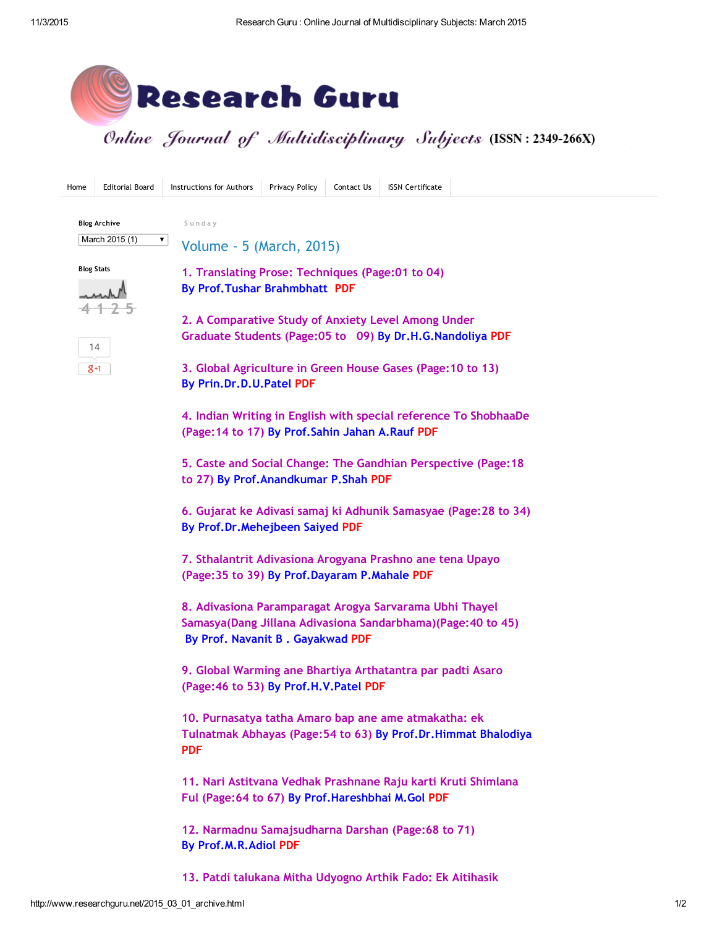

Online Journal of Multidisciplinary Subjects (ISSN: 2349-266X)

| Home                                                                                                                                                                                                                                                                                                                                                                                                                                                                                                                                                                                                                                                                                                                                                                                                                                                                                                          | <b>Editorial Board</b>                            | Instructions for Authors                                                                                                                                                                                                                                                                                                                                                                                                                                                                                                             | Privacy Policy                       | Contact Us | <b>ISSN Certificate</b> |  |  |
|---------------------------------------------------------------------------------------------------------------------------------------------------------------------------------------------------------------------------------------------------------------------------------------------------------------------------------------------------------------------------------------------------------------------------------------------------------------------------------------------------------------------------------------------------------------------------------------------------------------------------------------------------------------------------------------------------------------------------------------------------------------------------------------------------------------------------------------------------------------------------------------------------------------|---------------------------------------------------|--------------------------------------------------------------------------------------------------------------------------------------------------------------------------------------------------------------------------------------------------------------------------------------------------------------------------------------------------------------------------------------------------------------------------------------------------------------------------------------------------------------------------------------|--------------------------------------|------------|-------------------------|--|--|
| <b>Blog Stats</b><br>$8 + 1$                                                                                                                                                                                                                                                                                                                                                                                                                                                                                                                                                                                                                                                                                                                                                                                                                                                                                  | <b>Blog Archive</b><br>March 2015 (1)<br>▼.<br>14 | Sunday<br>Volume - 5 (March, 2015)<br>1. Translating Prose: Techniques (Page:01 to 04)<br>By Prof. Tushar Brahmbhatt PDF<br>2. A Comparative Study of Anxiety Level Among Under<br>Graduate Students (Page: 05 to 09) By Dr.H.G. Nandoliya PDF<br>3. Global Agriculture in Green House Gases (Page: 10 to 13)<br>By Prin.Dr.D.U.Patel PDF<br>4. Indian Writing in English with special reference To ShobhaaDe<br>(Page: 14 to 17) By Prof. Sahin Jahan A. Rauf PDF<br>5. Caste and Social Change: The Gandhian Perspective (Page: 18 |                                      |            |                         |  |  |
| 6. Gujarat ke Adivasi samaj ki Adhunik Samasyae (Page: 28 to 34)<br>By Prof.Dr.Mehejbeen Saiyed PDF<br>7. Sthalantrit Adivasiona Arogyana Prashno ane tena Upayo<br>(Page: 35 to 39) By Prof.Dayaram P. Mahale PDF<br>8. Adivasiona Paramparagat Arogya Sarvarama Ubhi Thayel<br>Samasya(Dang Jillana Adivasiona Sandarbhama)(Page: 40 to 45)<br>By Prof. Navanit B. Gayakwad PDF<br>9. Global Warming ane Bhartiya Arthatantra par padti Asaro<br>(Page: 46 to 53) By Prof.H.V.Patel PDF<br>10. Purnasatya tatha Amaro bap ane ame atmakatha: ek<br>Tulnatmak Abhayas (Page: 54 to 63) By Prof.Dr.Himmat Bhalodiya<br><b>PDF</b><br>11. Nari Astitvana Vedhak Prashnane Raju karti Kruti Shimlana<br>Ful (Page: 64 to 67) By Prof. Hareshbhai M. Gol PDF<br>12. Narmadnu Samajsudharna Darshan (Page:68 to 71)<br><b>By Prof.M.R.Adiol PDF</b><br>13. Patdi talukana Mitha Udyogno Arthik Fado: Ek Aitihasik |                                                   |                                                                                                                                                                                                                                                                                                                                                                                                                                                                                                                                      | to 27) By Prof.Anandkumar P.Shah PDF |            |                         |  |  |